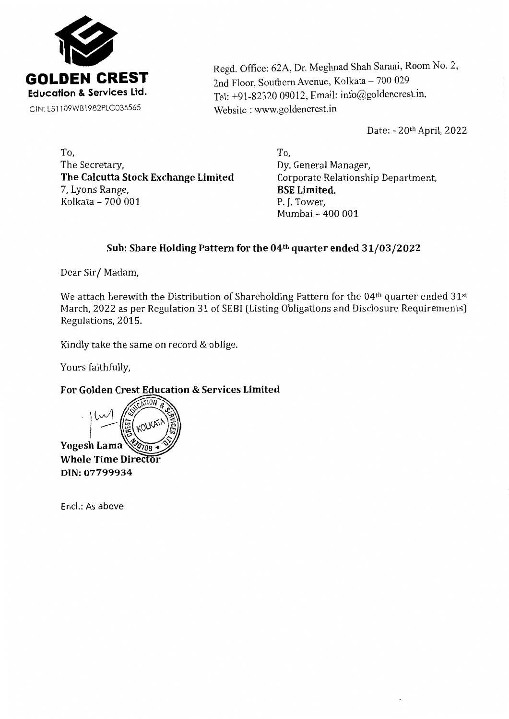

Regd. Office: 62A, Dr. Meghnad Shah Sarani, Room No. 2, 2nd Floor, Southern Avenue, Kolkata - 700 029 Tel: +91-82320 09012, Email: info@goldencrest.in, Website: www.goldencrest.in

Date: - 20th April, 2022

To, The Secretary, **The Calcutta Stock Exchange Limited**  7, Lyons Range, Kolkata -  $700001$ 

To, Dy. General Manager, Corporate Relationship Department, **BSE Limited,**  Mumbai - 400 001

# **Sub: Share Holding Pattern for the 04th quarter ended 31/03/2022**

Dear Sir/ Madam,

We attach herewith the Distribution of Shareholding Pattern for the 04<sup>th</sup> quarter ended 31<sup>st</sup> March, 2022 as per Regulation 31 of SEBI (Listing Obligations and Disclosure Requirements) Regulations, 2015.

Kindly take the same on record & oblige.

Yours faithfully,

**For Golden Crest Education & Services Limited** 

 $7103$ KOLKA **Yogesh Lama Whole Time Directo** DIN: 07799934

Encl.: As above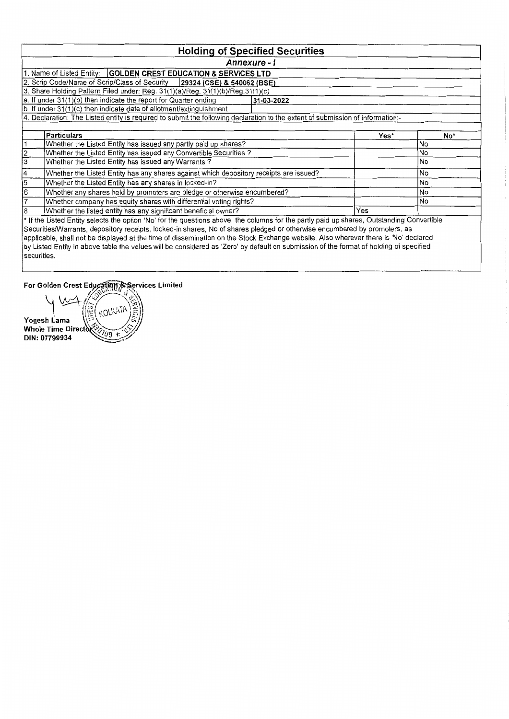|                                                                                                                                     | <b>Holding of Specified Securities</b>                                                                                                     |      |           |  |  |  |  |  |  |  |  |  |  |  |
|-------------------------------------------------------------------------------------------------------------------------------------|--------------------------------------------------------------------------------------------------------------------------------------------|------|-----------|--|--|--|--|--|--|--|--|--|--|--|
|                                                                                                                                     | Annexure - I                                                                                                                               |      |           |  |  |  |  |  |  |  |  |  |  |  |
|                                                                                                                                     | Name of Listed Entity:   GOLDEN CREST EDUCATION & SERVICES LTD                                                                             |      |           |  |  |  |  |  |  |  |  |  |  |  |
| 2. Scrip Code/Name of Scrip/Class of Security<br>29324 (CSE) & 540062 (BSE)                                                         |                                                                                                                                            |      |           |  |  |  |  |  |  |  |  |  |  |  |
| 3. Share Holding Pattern Filed under: Reg. 31(1)(a)/Reg. 31(1)(b)/Reg.31(1)(c)                                                      |                                                                                                                                            |      |           |  |  |  |  |  |  |  |  |  |  |  |
| a. If under 31(1)(b) then indicate the report for Quarter ending<br>31-03-2022                                                      |                                                                                                                                            |      |           |  |  |  |  |  |  |  |  |  |  |  |
| b. If under 31(1)(c) then indicate date of allotment/extinguishment                                                                 |                                                                                                                                            |      |           |  |  |  |  |  |  |  |  |  |  |  |
| 4. Declaration: The Listed entity is required to submit the following declaration to the extent of submission of information:-      |                                                                                                                                            |      |           |  |  |  |  |  |  |  |  |  |  |  |
|                                                                                                                                     |                                                                                                                                            |      |           |  |  |  |  |  |  |  |  |  |  |  |
|                                                                                                                                     | <b>Particulars</b>                                                                                                                         | Yes* | No*       |  |  |  |  |  |  |  |  |  |  |  |
|                                                                                                                                     | Whether the Listed Entity has issued any partly paid up shares?<br>No                                                                      |      |           |  |  |  |  |  |  |  |  |  |  |  |
| $\overline{2}$                                                                                                                      | Whether the Listed Entity has issued any Convertible Securities?                                                                           |      | No        |  |  |  |  |  |  |  |  |  |  |  |
| 3                                                                                                                                   | Whether the Listed Entity has issued any Warrants?                                                                                         |      | No        |  |  |  |  |  |  |  |  |  |  |  |
|                                                                                                                                     | Whether the Listed Entity has any shares against which depository receipts are issued?                                                     |      | No        |  |  |  |  |  |  |  |  |  |  |  |
| 5                                                                                                                                   | Whether the Listed Entity has any shares in locked-in?                                                                                     |      | <b>No</b> |  |  |  |  |  |  |  |  |  |  |  |
| 6                                                                                                                                   | Whether any shares held by promoters are pledge or otherwise encumbered?                                                                   |      | <b>No</b> |  |  |  |  |  |  |  |  |  |  |  |
|                                                                                                                                     | Whether company has equity shares with differential voting rights?                                                                         |      | No        |  |  |  |  |  |  |  |  |  |  |  |
|                                                                                                                                     | Whether the listed entity has any significant beneficial owner?                                                                            | Yes  |           |  |  |  |  |  |  |  |  |  |  |  |
|                                                                                                                                     | * If the Listed Entity selects the option 'No' for the questions above, the columns for the partly paid up shares, Outstanding Convertible |      |           |  |  |  |  |  |  |  |  |  |  |  |
|                                                                                                                                     | Securities/Warrants, depository receipts, locked-in shares, No of shares pledged or otherwise encumbered by promoters, as                  |      |           |  |  |  |  |  |  |  |  |  |  |  |
| applicable, shall not be displayed at the time of dissemination on the Stock Exchange website. Also wherever there is 'No' declared |                                                                                                                                            |      |           |  |  |  |  |  |  |  |  |  |  |  |
|                                                                                                                                     | by Listed Entity in above table the values will be considered as 'Zero' by default on submission of the format of holding of specified     |      |           |  |  |  |  |  |  |  |  |  |  |  |
| securities.                                                                                                                         |                                                                                                                                            |      |           |  |  |  |  |  |  |  |  |  |  |  |

**For Golden Crest Education & Services Limited** 

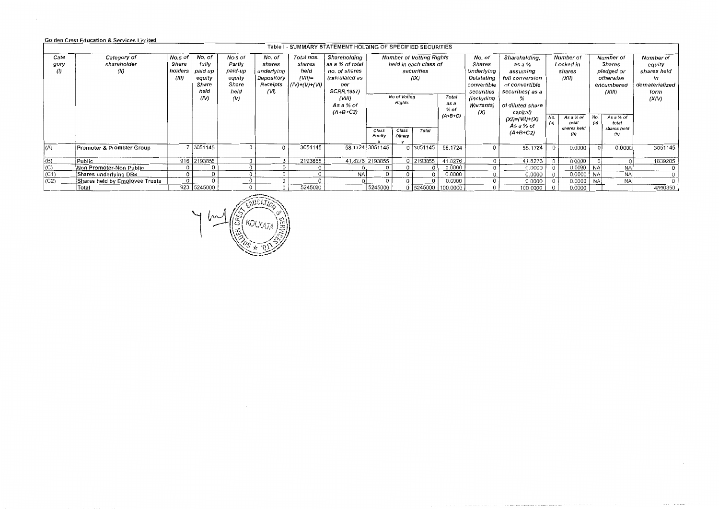## Golden Crest Education & Services Limited

|      |                                |         |             |          |            |               | Table 1 - SUMMARY STATEMENT HOLDING OF SPECIFIED SECURITIES |                 |                                 |                       |                |                   |                             |            |                    |            |                    |                |
|------|--------------------------------|---------|-------------|----------|------------|---------------|-------------------------------------------------------------|-----------------|---------------------------------|-----------------------|----------------|-------------------|-----------------------------|------------|--------------------|------------|--------------------|----------------|
| Cate | Category of                    | No.s of | No. of      | No.s of  | No. of     | Total nos.    | Shareholding                                                |                 | <b>Number of Votting Rights</b> |                       |                | No. of            | Shareholding,<br>Number of  |            |                    | Number of  |                    | Number of      |
| gory | shareholder                    | Share   | fully       | Partly   | shares     | shares        | as a % of total                                             |                 |                                 | held in each class of |                | Shares            | as a %                      |            | Locked in          |            | Shares             | equity         |
| (1)  |                                | holders | paid up     | paid-up  | underlying | held          | no. of shares                                               |                 |                                 | securities            |                | Underlying        | assuming                    | shares     |                    | pledged or |                    | shares held    |
|      |                                | (III)   | equity      | equity   | Depository | $(VII)$ =     | (calculated as                                              |                 |                                 | (IX)                  |                | Outstating        | full conversion             |            | (XII)              |            | otherwise          | in             |
|      |                                |         | Share       | Share    | Receipts   | (IV)+(V)+(VI) | per                                                         |                 |                                 |                       |                | convertible       | of convertible              |            |                    | encumbered |                    | dematerialized |
|      |                                |         | held        | held     | (VI)       |               | <b>SCRR,1957)</b>                                           |                 |                                 |                       |                | securities        | securities(as a             |            |                    |            | (XIII)             | form           |
|      |                                |         | (IV)        | (V)      |            |               | (VIII)                                                      |                 | No of Voting                    |                       | Total          | (including        | %                           |            |                    |            |                    | (XIV)          |
|      |                                |         |             |          |            |               | As a % of                                                   |                 | Rights                          |                       | as a<br>$%$ of | <b>Warrants</b> ) | of diluted share            |            |                    |            |                    |                |
|      |                                |         |             |          |            |               | $(A+B+C2)$                                                  |                 |                                 |                       | $(A+B+C)$      | (X)               | capital)                    |            |                    |            |                    |                |
|      |                                |         |             |          |            |               |                                                             |                 |                                 |                       |                |                   | (XI)=(VII)+(X)<br>As a % of | No.<br>(d) | As a % of<br>total | No.<br>(a) | As a % of<br>total |                |
|      |                                |         |             |          |            |               |                                                             | Class           | Class                           | Total                 |                |                   | $(A+B+C2)$                  |            | shares held        |            | shares held        |                |
|      |                                |         |             |          |            |               |                                                             | Equity          | <b>Others</b>                   |                       |                |                   |                             |            | (b)                |            | (b)                |                |
|      |                                |         | 7 3051145   | $\Omega$ | $\Omega$   | 3051145       |                                                             |                 |                                 | 0 3051145             | 58.1724        |                   |                             | $\Omega$   |                    |            |                    | 3051145        |
| (A)  | Promoter & Promoter Group      |         |             |          |            |               |                                                             | 58.1724 3051145 |                                 |                       |                |                   | 58.1724                     |            | 0.0000             |            | 0.0000             |                |
| (B)  | Public                         |         | 916 2193855 |          | $\Omega$   | 2193855       |                                                             | 41.8276 2193855 |                                 | 0 2193855             | 41.8276        |                   | 41.8276                     |            | 0.0000             |            |                    | 1839205        |
| (C)  | Non Promoter-Non Public        |         |             | $\Omega$ |            |               |                                                             |                 |                                 |                       | 0.0000         |                   | 0.0000                      | $\Omega$   | 0.0000             | NA         | <b>NA</b>          | $\bf{0}$       |
| (C1) | Shares underlying DRs          |         |             | 0        | $\Omega$   | $\Omega$      | <b>NAI</b>                                                  |                 |                                 |                       | 0.0000         |                   | 0.0000                      |            | 0.0000             | <b>NA</b>  | <b>NA</b>          | $\circ$        |
| (C2) | Shares held by Employee Trusts |         |             |          |            |               |                                                             |                 |                                 |                       | 0.0000         |                   | 0.0000                      |            | 0.0000             | <b>NA</b>  | <b>NA</b>          | $\Omega$       |
|      | Total                          | 923     | 5245000     | $\Omega$ | $\Omega$   | 5245000       |                                                             | 5245000         |                                 | 0 5245000             | 100.0000       |                   | 100.0000                    |            | 0.0000             |            |                    | 4890350        |

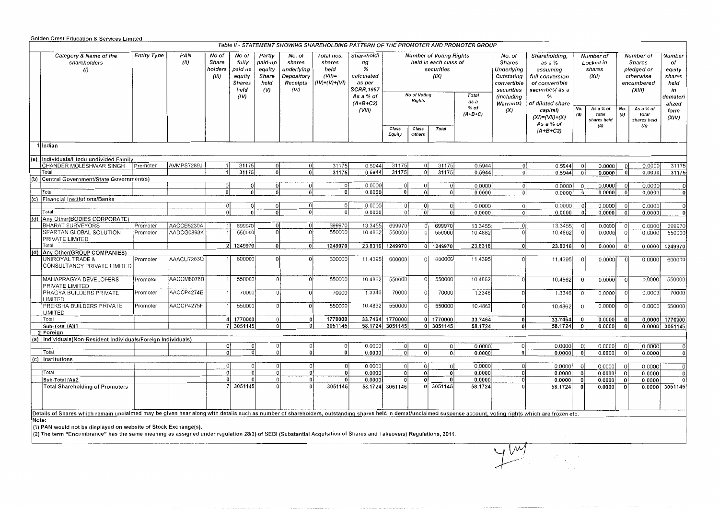|           | <b>Golden Crest Education &amp; Services Limited</b>                                                                                                                                                           |                    |                          |                                           |                                                                      |                                                     |                                                                  |                                                              |                                                                                       |                  |                               |                                                                                                |                                                                                      |                                                                                                             |                                                                                                                      |                                           |                                          |                |                                                                               |                                                                      |
|-----------|----------------------------------------------------------------------------------------------------------------------------------------------------------------------------------------------------------------|--------------------|--------------------------|-------------------------------------------|----------------------------------------------------------------------|-----------------------------------------------------|------------------------------------------------------------------|--------------------------------------------------------------|---------------------------------------------------------------------------------------|------------------|-------------------------------|------------------------------------------------------------------------------------------------|--------------------------------------------------------------------------------------|-------------------------------------------------------------------------------------------------------------|----------------------------------------------------------------------------------------------------------------------|-------------------------------------------|------------------------------------------|----------------|-------------------------------------------------------------------------------|----------------------------------------------------------------------|
|           |                                                                                                                                                                                                                |                    |                          |                                           |                                                                      |                                                     |                                                                  |                                                              |                                                                                       |                  |                               |                                                                                                | Table II - STATEMENT SHOWING SHAREHOLDING PATTERN OF THE PROMOTER AND PROMOTER GROUP |                                                                                                             |                                                                                                                      |                                           |                                          |                |                                                                               |                                                                      |
|           | Category & Name of the<br>shareholders<br>(1)                                                                                                                                                                  | <b>Entity Type</b> | PAN<br>(II)              | No of<br><b>Share</b><br>holders<br>(III) | No of<br>fully<br>paid up<br>equity<br><b>Shares</b><br>held<br>(IV) | Partly<br>paid-up<br>equity<br>Share<br>held<br>(V) | No. of<br>shares<br>underlying<br>Depository<br>Receipts<br>(VI) | Total nos.<br>shares<br>held<br>$(VII)$ =<br>$(IV)+(V)+(V))$ | Shareholdi<br>ng<br>%<br>calculated<br>as per<br>SCRR,1957<br>As a % of<br>$(A+B+C2)$ |                  | No of Voting<br><b>Rights</b> | <b>Number of Voting Rights</b><br>held in each class of<br>securities<br>(IX)<br>Total<br>as a |                                                                                      | No. of<br><b>Shares</b><br>Underlying<br>Outstating<br>convertible<br>securities<br>(includina<br>Warrants) | Shareholding,<br>as a %<br>assuming<br>full conversion<br>of convertible<br>securities(as a<br>%<br>of diluted share | Number of<br>Locked in<br>shares<br>(XII) |                                          |                | Number of<br><b>Shares</b><br>pledged or<br>otherwise<br>encumbered<br>(XIII) | Number<br>of<br>equity<br>shares<br>neld<br>in<br>demateri<br>alized |
|           |                                                                                                                                                                                                                |                    |                          |                                           |                                                                      |                                                     |                                                                  |                                                              | (VIII)                                                                                | Class<br>Equity  | Class<br><b>Others</b>        | <b>Total</b>                                                                                   | $%$ of<br>$(A+B+C)$                                                                  | (X)                                                                                                         | capital)<br>$(XI) = (VII) + (X)$<br>As a % of<br>$(A+B+C2)$                                                          | No.                                       | As a % of<br>total<br>shares held<br>(b) | No.<br>(a)     | As a % of<br>total<br>shares held<br>(b)                                      | form<br>(XIV)                                                        |
|           | 1 Indian<br>(a) Individuals/Hindu undivided Family                                                                                                                                                             |                    |                          |                                           |                                                                      |                                                     |                                                                  |                                                              |                                                                                       |                  |                               |                                                                                                |                                                                                      |                                                                                                             |                                                                                                                      |                                           |                                          |                |                                                                               |                                                                      |
|           | 0.5944<br> 0 <br>0.0000<br>0.0000<br>31175<br>0.5944<br>31175<br>31175<br>0.5944<br>Ωł<br>$\Omega$<br>-ol<br>- ol<br>CHANDER MOLESHWAR SINGH<br> 0 <br>-1.                                                     |                    |                          |                                           |                                                                      |                                                     |                                                                  |                                                              |                                                                                       |                  |                               |                                                                                                |                                                                                      |                                                                                                             |                                                                                                                      |                                           |                                          |                |                                                                               |                                                                      |
|           |                                                                                                                                                                                                                | Promoter           | AVMPS7289J               |                                           | 31175                                                                |                                                     |                                                                  |                                                              |                                                                                       |                  |                               |                                                                                                |                                                                                      |                                                                                                             |                                                                                                                      |                                           |                                          |                |                                                                               | 31175                                                                |
| Total     |                                                                                                                                                                                                                |                    |                          |                                           | 31175                                                                | ॰                                                   | 0                                                                | 31175                                                        | 0.5944                                                                                | 31175            | $\overline{\circ}$            | 31175                                                                                          | 0.5944                                                                               | $\overline{\mathfrak{o}}$                                                                                   | 0.5944                                                                                                               | -ol                                       | 0.0000                                   | 0              | 0.0000                                                                        | 31175                                                                |
|           | (b) Central Government/State Government(s)                                                                                                                                                                     |                    |                          |                                           |                                                                      |                                                     |                                                                  |                                                              |                                                                                       |                  |                               |                                                                                                |                                                                                      |                                                                                                             |                                                                                                                      |                                           |                                          |                |                                                                               |                                                                      |
|           |                                                                                                                                                                                                                |                    |                          | $\Omega$                                  |                                                                      | 0                                                   | 0                                                                | 0                                                            | 0.0000                                                                                | $\Omega$         | 0                             | $\overline{0}$                                                                                 | 0.0000                                                                               | $\overline{\mathfrak{0}}$                                                                                   | 0.0000                                                                                                               | - Ol                                      | 0.0000                                   | -01            | 0.0000                                                                        | $\overline{0}$                                                       |
| Total     |                                                                                                                                                                                                                |                    |                          | $\Omega$                                  |                                                                      | $\overline{0}$                                      | 0Ì                                                               | 0                                                            | 0.0000                                                                                | $\mathfrak{g}$   | $\Omega$                      | $\overline{0}$                                                                                 | 0.0000                                                                               | $\mathbf{0}$                                                                                                | 0.0000                                                                                                               | $\Omega$                                  | 0.0000                                   | 0 <sup>1</sup> | 0.0000                                                                        | $\overline{0}$                                                       |
|           | (c) Financial Institutions/Banks                                                                                                                                                                               |                    |                          |                                           |                                                                      |                                                     |                                                                  |                                                              |                                                                                       |                  |                               |                                                                                                |                                                                                      |                                                                                                             |                                                                                                                      |                                           |                                          |                |                                                                               |                                                                      |
|           |                                                                                                                                                                                                                |                    |                          | $\Omega$                                  | $\Omega$                                                             | 0                                                   | $\Omega$                                                         | 0                                                            | 0.0000<br>0.0000                                                                      | $\mathbf{0}$     | 0l<br>0 <sup>1</sup>          | 0 <sup>1</sup>                                                                                 | 0.0000<br>0.0000                                                                     | 0 <br>$\overline{0}$                                                                                        | 0.0000<br>0.0000                                                                                                     | 0l<br>οi                                  | 0.0000<br>0.0000                         | -0 l           | 0.0000<br>0.0000                                                              | $\Omega$                                                             |
| Total     |                                                                                                                                                                                                                |                    |                          | $\Omega$                                  | Ωİ                                                                   | -ol                                                 | οl                                                               | 0                                                            |                                                                                       | 0                |                               | $\mathbf{0}$                                                                                   |                                                                                      |                                                                                                             |                                                                                                                      |                                           |                                          |                |                                                                               | 0                                                                    |
|           | (d) Any Other(BODIES CORPORATE)                                                                                                                                                                                |                    |                          | $\overline{1}$                            |                                                                      |                                                     | $\Omega$                                                         | 699970                                                       | 13.3455                                                                               |                  |                               | 699970                                                                                         | 13.3455                                                                              | $\mathbf{0}$                                                                                                |                                                                                                                      |                                           | 0.0000                                   | $\Omega$       | 0.0000                                                                        | 699970                                                               |
|           | <b>BHARAT SURVEYORS</b>                                                                                                                                                                                        | Promoter           | AACCB5230A<br>AADCG0893K |                                           | 699970<br>550000                                                     | 0 <br>$\Omega$                                      | 0ł                                                               | 550000                                                       | 10.4862                                                                               | 699970<br>550000 | 0 <br>$\mathbf{0}$            | 550000                                                                                         | 10.4862                                                                              | $\Omega$                                                                                                    | 13.3455<br>10.4862                                                                                                   | $\Omega$                                  | 0.0000                                   | $\Omega$       | 0.0000                                                                        | 550000                                                               |
|           | SPARTAN GLOBAL SOLUTION                                                                                                                                                                                        | Promoter           |                          |                                           |                                                                      |                                                     |                                                                  |                                                              |                                                                                       |                  |                               |                                                                                                |                                                                                      |                                                                                                             |                                                                                                                      |                                           |                                          |                |                                                                               |                                                                      |
| Total     | PRIVATE LIMITED                                                                                                                                                                                                |                    |                          |                                           | 2 1249970                                                            | 0                                                   | 0                                                                | 1249970                                                      | 23.8316                                                                               | 1249970          |                               | 0 1249970                                                                                      | 23.8316                                                                              | - ol                                                                                                        | 23.8316                                                                                                              | οl                                        | 0.0000                                   |                | 0.0000                                                                        | 1249970                                                              |
|           | (d) Any Other(GROUP COMPANIES)                                                                                                                                                                                 |                    |                          |                                           |                                                                      |                                                     |                                                                  |                                                              |                                                                                       |                  |                               |                                                                                                |                                                                                      |                                                                                                             |                                                                                                                      |                                           |                                          |                |                                                                               |                                                                      |
|           | UNIROYAL TRADE &<br>CONSULTANCY PRIVATE LIMITED                                                                                                                                                                | Promoter           | AAACU7283Q               |                                           | 600000                                                               | ΩI                                                  | ΩI                                                               | 600000                                                       | 11.4395                                                                               | 600000           | $\Omega$                      | 600000                                                                                         | 11.4395                                                                              | $\overline{0}$                                                                                              | 11,4395                                                                                                              |                                           | 0.0000                                   | $\Omega$       | 0.00001                                                                       | 600000                                                               |
|           | MAHAPRAGYA DEVELOPERS                                                                                                                                                                                          | Promoter           | AACCM8076B               |                                           | 550000                                                               | $\overline{0}$                                      | $\Omega$                                                         | 550000                                                       | 10.4862                                                                               | 550000           |                               | 550000                                                                                         | 10.4862                                                                              | 0I                                                                                                          | 10.4862                                                                                                              | $\Omega$                                  | 0.0000                                   | $\Omega$       | 0.0000                                                                        | 550000                                                               |
|           | PRIVATE LIMITED                                                                                                                                                                                                |                    |                          |                                           |                                                                      | $\Omega$                                            | Ωl                                                               |                                                              |                                                                                       |                  | $\Omega$                      |                                                                                                |                                                                                      | $\Omega$                                                                                                    |                                                                                                                      |                                           |                                          |                |                                                                               | 70000                                                                |
|           | PRAGYA BUILDERS PRIVATE<br>LIMITED                                                                                                                                                                             | Promoter           | AACCP4274E               |                                           | 70000                                                                |                                                     |                                                                  | 70000                                                        | 1.3346                                                                                | 70000            |                               | 70000                                                                                          | 1.3346                                                                               |                                                                                                             | 1.3346                                                                                                               |                                           | 0.0000                                   |                | 0.0000                                                                        |                                                                      |
|           | PREKSHA BUILDERS PRIVATE<br>LIMITED                                                                                                                                                                            | Promoter           | AACCP4275F               |                                           | 550000                                                               | $\Omega$                                            |                                                                  | 550000                                                       | 10.4862                                                                               | 550000           | $\Omega$                      | 550000                                                                                         | 10.4862                                                                              | $\Omega$                                                                                                    | 10.4862                                                                                                              |                                           | 0.0000                                   | $\Omega$       | 0.0000                                                                        | 550000                                                               |
| Total     |                                                                                                                                                                                                                |                    |                          |                                           | 4 1770000                                                            | $\bf{0}$                                            | n                                                                | 1770000                                                      | 33.7464                                                                               | 1770000          |                               | 0 1770000                                                                                      | 33.7464                                                                              | $\mathbf{0}$                                                                                                | 33.7464                                                                                                              |                                           | 0.0000                                   | 0              | 0.0000                                                                        | 1770000                                                              |
|           | Sub-Total (A)(1                                                                                                                                                                                                |                    |                          |                                           | 7 3051145                                                            | $\mathbf{0}$                                        | $\Omega$                                                         | 3051145                                                      |                                                                                       | 58.1724 3051145  |                               | 0 3051145                                                                                      | 58.1724                                                                              | 0                                                                                                           | 58.1724                                                                                                              | -0                                        | 0.0000                                   | 0              |                                                                               | $0.0000$ 3051145                                                     |
| 2 Foreign |                                                                                                                                                                                                                |                    |                          |                                           |                                                                      |                                                     |                                                                  |                                                              |                                                                                       |                  |                               |                                                                                                |                                                                                      |                                                                                                             |                                                                                                                      |                                           |                                          |                |                                                                               |                                                                      |
|           | (a)  Individuals(Non-Resident Individuals/Foreign Individuals)                                                                                                                                                 |                    |                          |                                           |                                                                      |                                                     |                                                                  |                                                              |                                                                                       |                  |                               |                                                                                                |                                                                                      |                                                                                                             |                                                                                                                      |                                           |                                          |                |                                                                               |                                                                      |
|           |                                                                                                                                                                                                                |                    |                          | 0                                         | $\Omega$                                                             | $\Omega$                                            | $\Omega$                                                         | <sub>0</sub>                                                 | 0.0000                                                                                | 0I               | 0                             | 0                                                                                              | 0.0000                                                                               | $\Omega$                                                                                                    | 0.0000                                                                                                               |                                           | 0.0000                                   | <sub>0</sub>   | 0.0000                                                                        | $\Omega$                                                             |
| Total     |                                                                                                                                                                                                                |                    |                          | $\mathbf{0}$                              | $\Omega$                                                             | $\Omega$                                            | $\Omega$                                                         | $\overline{0}$                                               | 0.0000                                                                                | $\overline{0}$   | $\overline{0}$                | $\mathbf{0}$                                                                                   | 0.0000                                                                               | 0                                                                                                           | 0.0000                                                                                                               | -01                                       | 0.0000                                   | 0              | 0.0000                                                                        | 0                                                                    |
|           | $(c)$   Institutions                                                                                                                                                                                           |                    |                          |                                           |                                                                      |                                                     |                                                                  |                                                              |                                                                                       |                  |                               |                                                                                                |                                                                                      |                                                                                                             |                                                                                                                      |                                           |                                          |                |                                                                               |                                                                      |
|           |                                                                                                                                                                                                                |                    |                          | $\mathbf 0$                               | $\Omega$                                                             | $\Omega$                                            | 0I                                                               | 0                                                            | 0.0000                                                                                | 0                | 0                             | 0I                                                                                             | 0.0000                                                                               | 0!                                                                                                          | 0.0000                                                                                                               |                                           | 0.0000                                   | $\Omega$       | 0.0000                                                                        | -ol                                                                  |
| Total     |                                                                                                                                                                                                                |                    |                          | $\Omega$                                  | 0                                                                    | 0                                                   | $\mathbf{0}$                                                     | $\overline{0}$                                               | 0.0000                                                                                | 0                | $\Omega$                      | 0 <sup>1</sup>                                                                                 | 0.0000                                                                               | 0                                                                                                           | 0.0000                                                                                                               | 0                                         | 0.0000                                   | 0              | 0.0000                                                                        | 0                                                                    |
|           | Sub-Total (A)(2                                                                                                                                                                                                |                    |                          | $\Omega$                                  | $\Omega$                                                             | 0                                                   | $\overline{0}$                                                   | $\mathbf{0}$                                                 | 0.0000                                                                                | $\mathbf{0}$     | $\bf{0}$                      | 0                                                                                              | 0.0000                                                                               | $\overline{0}$                                                                                              | 0.0000                                                                                                               |                                           | 0.0000                                   | $\mathbf{0}$   | 0.0000                                                                        | οi                                                                   |
|           | <b>Total Shareholding of Promoters</b>                                                                                                                                                                         |                    |                          |                                           | 3051145                                                              | $\Omega$                                            |                                                                  | 3051145                                                      |                                                                                       | 58.1724 3051145  |                               | 0 3051145                                                                                      | 58.1724                                                                              | $\Omega$                                                                                                    | 58.1724                                                                                                              |                                           | 0.0000                                   | $\Omega$       | 0.0000                                                                        | 3051145                                                              |
|           | Details of Shares which remain unclaimed may be given hear along with details such as number of shareholders, outstanding shares held in demat/unclaimed suspense account, voting rights which are frozen etc. |                    |                          |                                           |                                                                      |                                                     |                                                                  |                                                              |                                                                                       |                  |                               |                                                                                                |                                                                                      |                                                                                                             |                                                                                                                      |                                           |                                          |                |                                                                               |                                                                      |
| Note:     |                                                                                                                                                                                                                |                    |                          |                                           |                                                                      |                                                     |                                                                  |                                                              |                                                                                       |                  |                               |                                                                                                |                                                                                      |                                                                                                             |                                                                                                                      |                                           |                                          |                |                                                                               |                                                                      |

·•••••<br>(1) PAN would not be displayed on website of Stock Exchange(s).<br>(2) The term "Encumbrance" has the same meaning as assigned under regulation 28(3) of SEBI (Substantial Acquisition of Shares and Takeovers) Regulatio

ym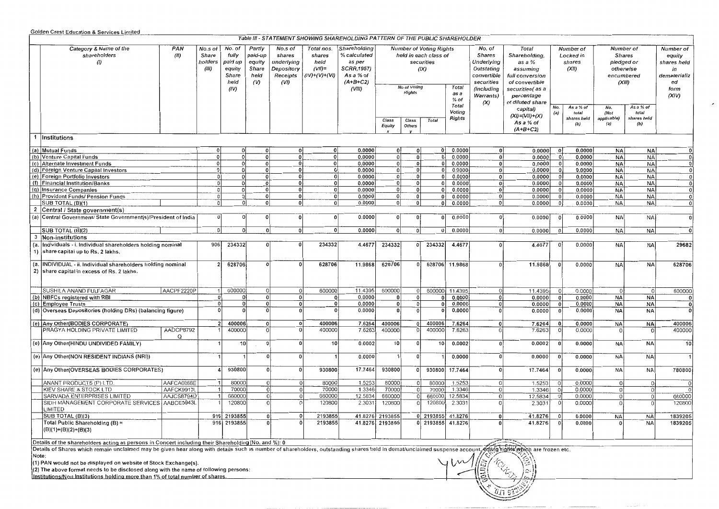### Golden Crest Education & Services Limited

|           |                                                                                                                                                                                                                                                                                                                         |                       |                                      |                                                               |                                                     |                                                                   |                                                              | Table III - STATEMENT SHOWING SHAREHOLDING PATTERN OF THE PUBLIC SHAREHOLDER                     |                 |                 |                                                                               |                       |                                                                                         |                                                                                                      |                         |                                           |                                                                        |                             |                                                                        |
|-----------|-------------------------------------------------------------------------------------------------------------------------------------------------------------------------------------------------------------------------------------------------------------------------------------------------------------------------|-----------------------|--------------------------------------|---------------------------------------------------------------|-----------------------------------------------------|-------------------------------------------------------------------|--------------------------------------------------------------|--------------------------------------------------------------------------------------------------|-----------------|-----------------|-------------------------------------------------------------------------------|-----------------------|-----------------------------------------------------------------------------------------|------------------------------------------------------------------------------------------------------|-------------------------|-------------------------------------------|------------------------------------------------------------------------|-----------------------------|------------------------------------------------------------------------|
|           | Category & Name of the<br>PAN<br>(II)<br>shareholders                                                                                                                                                                                                                                                                   |                       | No.s of<br>Share<br>holders<br>(III) | No. of<br>fully<br>paid up<br>equity<br>Share<br>held<br>(IV) | Partly<br>paid-up<br>equity<br>Share<br>held<br>(V) | No.s of<br>shares<br>underlying<br>Depository<br>Receipts<br>(VI) | Total nos.<br>shares<br>held<br>$(VII)$ =<br>$(IV)+(V)+(VI)$ | Shareholding<br>% calculated<br>as per<br><b>SCRR,1957)</b><br>As a % of<br>$(A+B+C2)$<br>(VIII) |                 | No of Voting    | <b>Number of Voting Rights</b><br>held in each class of<br>securities<br>(IX) | Total                 | No. of<br>Shares<br>Underlying<br>Outstating<br>convertible<br>securities<br>(including | Total<br>Shareholding,<br>as a %<br>assuming<br>full conversion<br>of convertible<br>securities(as a |                         | Number of<br>Locked in<br>shares<br>(XII) | Number of<br>Shares<br>pledged or<br>otherwise<br>encumbered<br>(XIII) |                             | Number of<br>equity<br>shares held<br>in<br>dematerializ<br>ed<br>form |
|           |                                                                                                                                                                                                                                                                                                                         |                       |                                      |                                                               |                                                     |                                                                   |                                                              |                                                                                                  | Rights          |                 |                                                                               | as a<br>% of<br>Total | Warrants)<br>$(\chi)$                                                                   | percentage<br>of diluted share                                                                       | No.                     | As a % of                                 | No.                                                                    | As a % of                   | (XIV)                                                                  |
|           |                                                                                                                                                                                                                                                                                                                         |                       |                                      |                                                               |                                                     |                                                                   |                                                              |                                                                                                  | Class<br>Equity | Class<br>Others | <b>Total</b>                                                                  | Voting<br>Rights      |                                                                                         | capital)<br>$(XI) = (VII)+(X)$<br>As a % of<br>$(A+B+C2)$                                            | (a)                     | total<br>shares held<br>(b)               | (Not<br>applicable)<br>(a)                                             | total<br>shares held<br>(b) |                                                                        |
|           | 1 Institutions                                                                                                                                                                                                                                                                                                          |                       |                                      |                                                               |                                                     |                                                                   |                                                              |                                                                                                  |                 |                 |                                                                               |                       |                                                                                         |                                                                                                      |                         |                                           |                                                                        |                             |                                                                        |
|           | (a) Mutual Funds                                                                                                                                                                                                                                                                                                        |                       | $\mathbf 0$                          | οı                                                            | 0                                                   | $\mathbf 0$                                                       | $\mathbf 0$                                                  | 0.0000                                                                                           | $\mathbf{0}$    | 0               | 0 <sup>1</sup>                                                                | 0.0000                |                                                                                         | 0.0000                                                                                               | $\mathbf{0}$            | 0.0000                                    | <b>NA</b>                                                              | <b>NA</b>                   |                                                                        |
|           | (b) Venture Capital Funds                                                                                                                                                                                                                                                                                               |                       | 0                                    | 0                                                             | $\mathbf 0$                                         | 0                                                                 | 0                                                            | 0.0000                                                                                           | 0               | 0               | 01                                                                            | 0.0000                | 0 <sup>1</sup>                                                                          | 0.0000                                                                                               | - O I                   | 0.0000                                    | NA                                                                     | <b>NA</b>                   | $\mathbf 0$                                                            |
|           | (c) Alternate Investment Funds                                                                                                                                                                                                                                                                                          |                       | 0                                    | $\Omega$                                                      | $\pmb{0}$                                           | $\mathbf{0}$                                                      | $\Omega$                                                     | 0.0000                                                                                           | $\Omega$        | $\mathbf{0}$    | οI                                                                            | 0.0000                | 0 <sup>1</sup>                                                                          | 0.0000                                                                                               | $\mathbf 0$             | 0.0000                                    | <b>NA</b>                                                              | NA                          | $\mathbf 0$                                                            |
|           | (d) Foreign Venture Capital Investors                                                                                                                                                                                                                                                                                   |                       | $\Omega$                             | 0                                                             | $\mathbf 0$                                         | $\mathbf{0}$                                                      | $\Omega$                                                     | 0.0000                                                                                           | 0               | 0               | 0 I                                                                           | 0.0000                | 0                                                                                       | 0.0000                                                                                               | - O l                   | 0.0000                                    | <b>NA</b>                                                              | <b>NA</b>                   | $\mathbf 0$                                                            |
|           | (e) Foreign Portfolio Investors                                                                                                                                                                                                                                                                                         |                       | 0                                    |                                                               | $\mathbf 0$                                         | $\Omega$                                                          | $\mathbf 0$                                                  | 0.0000                                                                                           | 0               | $\mathbf{0}$    | 0                                                                             | 0.0000                | $\mathbf{0}$                                                                            | 0.0000                                                                                               | - O I                   | 0.0000                                    | <b>NA</b>                                                              | <b>NA</b>                   | $\mathbf 0$                                                            |
|           | (f) Financial Institution/Banks                                                                                                                                                                                                                                                                                         |                       | 0                                    | ി                                                             | $\mathbf 0$                                         | οi                                                                | 0                                                            | 0.0000                                                                                           | 0               | $\mathbf{0}$    | $\mathbf{0}$                                                                  | 0.0000                | $\mathbf{0}$                                                                            | 0.0000                                                                                               | 0                       | 0.0000                                    | <b>NA</b>                                                              | <b>NA</b>                   | $\bf{0}$                                                               |
|           | (g) Insurance Companies                                                                                                                                                                                                                                                                                                 |                       | 0                                    | $\Omega$                                                      | 0                                                   | $\mathbf{0}$                                                      | $\mathbf 0$                                                  | 0.0000                                                                                           | 0j              | 0               | $\mathbf{0}$                                                                  | 0.0000                | 0                                                                                       | 0.0000                                                                                               | 0                       | 0.0000                                    | NA                                                                     | <b>NA</b>                   | $\mathbf 0$                                                            |
|           | (h) Provident Funds/ Pension Funds                                                                                                                                                                                                                                                                                      |                       | 0                                    | $\Omega$                                                      | 0                                                   | 0                                                                 | 0                                                            | 0.0000                                                                                           | 0               | $\mathbf{0}$    | 0 <sup>1</sup>                                                                | 0.0000                | 0                                                                                       | 0.0000                                                                                               | $\mathbf{0}$            | 0.0000                                    | ΝA                                                                     | <b>NA</b>                   | $\mathbf 0$                                                            |
|           | SUB TOTAL (B)(1)                                                                                                                                                                                                                                                                                                        |                       | 0                                    | 0                                                             | 0                                                   | $\mathbf{0}$                                                      | 0                                                            | 0.0000                                                                                           | $\Omega$        | 0               | 01                                                                            | 0.0000                | 0                                                                                       | 0.0000                                                                                               | -01                     | 0.0000                                    | NA                                                                     | <b>NA</b>                   | $\Omega$                                                               |
|           | Central / State government(s)<br>(a) Central Government/ State Government(s)/President of India                                                                                                                                                                                                                         |                       | 0                                    |                                                               | 0                                                   | 0                                                                 | $\mathbf 0$                                                  | 0.0000                                                                                           | 0               | 0               | οI                                                                            | 0.0000                |                                                                                         | 0.0000                                                                                               | - 0                     | 0.0000                                    | <b>NA</b>                                                              | <b>NA</b>                   | n                                                                      |
|           | SUB TOTAL (B)(2)                                                                                                                                                                                                                                                                                                        |                       | $\mathbf{0}$                         | Ωl                                                            | $\overline{0}$                                      | 0                                                                 | $\mathbf{0}$                                                 | 0.0000                                                                                           | 0               | 0               | $\mathsf{O}$                                                                  | 0.0000                | οł                                                                                      | 0.0000                                                                                               | $\overline{0}$          | 0.0000                                    | NA                                                                     | NA                          | $\Omega$                                                               |
|           | 3 Non-institutions                                                                                                                                                                                                                                                                                                      |                       |                                      |                                                               |                                                     |                                                                   |                                                              |                                                                                                  |                 |                 |                                                                               |                       |                                                                                         |                                                                                                      |                         |                                           |                                                                        |                             |                                                                        |
| (a.       | Individuals - i. Individual shareholders holding nominal<br>1) share capital up to Rs. 2 lakhs.                                                                                                                                                                                                                         |                       | 906                                  | 234332                                                        | 0                                                   | 0                                                                 | 234332                                                       | 4.4677                                                                                           | 234332          | 0               | 234332                                                                        | 4.4677                | $\Omega$                                                                                | 4.4677                                                                                               | - 0                     | 0.0000                                    | NA                                                                     | <b>NA</b>                   | 29682                                                                  |
| (a.<br>2) | INDIVIDUAL - ii. Individual shareholders holding nominal<br>share capital in excess of Rs. 2 lakhs.                                                                                                                                                                                                                     |                       |                                      | 628706                                                        | $\mathbf 0$                                         | $\mathbf{0}$                                                      | 628706                                                       | 11.9868                                                                                          | 628706          | 0               |                                                                               | 628706 11.9868        |                                                                                         | 11.9868                                                                                              | $\boldsymbol{0}$        | 0.0000                                    | <b>NA</b>                                                              | <b>NA</b>                   | 628706                                                                 |
|           | SUSHILA ANAND FULFAGAR                                                                                                                                                                                                                                                                                                  | AACPF2220P            | -11                                  | 600000                                                        | $^{\circ}$                                          | $\vert 0 \vert$                                                   | 600000                                                       | 11.4395                                                                                          | 600000          | $\overline{0}$  | 600000                                                                        | 11,4395               |                                                                                         | 11.4395                                                                                              | 0                       | 0.0000                                    | -ol                                                                    | $\Omega$                    | 600000                                                                 |
|           | (b) NBFCs registered with RBI                                                                                                                                                                                                                                                                                           |                       | - 0                                  |                                                               | $\Omega$                                            | 0                                                                 | $\Omega$                                                     | 0.0000                                                                                           | $\mathbf{0}$    | 0               |                                                                               | 0.0000                |                                                                                         | 0.0000                                                                                               | 0                       | 0.0000                                    | NA                                                                     | <b>NA</b>                   |                                                                        |
|           | (c) Employee Trusts                                                                                                                                                                                                                                                                                                     |                       | 0                                    | nl                                                            | $\Omega$                                            | 0                                                                 | $\Omega$                                                     | 0.0000                                                                                           | $\mathbf 0$     | 0               |                                                                               | 0.0000                |                                                                                         | 0.0000                                                                                               | $\overline{0}$          | 0.0000                                    | <b>NA</b>                                                              | NA                          | $\bf{0}$                                                               |
|           | (d) Overseas Depositories (holding DRs) (balancing figure)                                                                                                                                                                                                                                                              |                       | $\overline{0}$                       |                                                               | $\Omega$                                            | 0                                                                 |                                                              | 0.0000                                                                                           | $\bf{0}$        | $\mathbf 0$     |                                                                               | 0.0000                |                                                                                         | 0.0000                                                                                               | $\mathbf{0}$            | 0.0000                                    | <b>NA</b>                                                              | <b>NA</b>                   | $\Omega$                                                               |
|           | (e) Any Other(BODIES CORPORATE)                                                                                                                                                                                                                                                                                         |                       | $\overline{2}$                       | 400006                                                        | $\mathbf 0$                                         | 0                                                                 | 400006                                                       | 7.6264                                                                                           | 400006          | 0 <sup>1</sup>  | 400006                                                                        | 7.6264                | $\Omega$                                                                                | 7.6264                                                                                               | $\mathbf{0}$            | 0.0000                                    | <b>NA</b>                                                              | NA                          | 400006                                                                 |
|           | PRAGYA HOLDING PRIVATE LIMITED                                                                                                                                                                                                                                                                                          | AADCP8792<br>$\Omega$ |                                      | 400000                                                        | $\circ$                                             | $\Omega$                                                          | 400000                                                       | 7.6263                                                                                           | 400000          | $\Omega$        | 400000                                                                        | 7.6263                |                                                                                         | 7.6263                                                                                               | C                       | 0.0000                                    | $\Omega$                                                               |                             | 400000                                                                 |
|           | (e) Any Other(HINDU UNDIVIDED FAMILY)                                                                                                                                                                                                                                                                                   |                       |                                      | 10                                                            | ol                                                  | 0                                                                 | 10                                                           | 0.0002                                                                                           | 10 <sup>1</sup> | 0               | 10                                                                            | 0.0002                | $\Omega$                                                                                | 0.0002                                                                                               | $\overline{\mathbf{0}}$ | 0.0000                                    | NA                                                                     | NA                          | 10                                                                     |
|           | (e) Any Other (NON RESIDENT INDIANS (NRI))                                                                                                                                                                                                                                                                              |                       |                                      |                                                               | ol                                                  | 0                                                                 |                                                              | 0.0000                                                                                           |                 | $\mathbf{0}$    |                                                                               | 0.0000                | $\Omega$                                                                                | 0.0000                                                                                               | 0                       | 0.0000                                    | <b>NA</b>                                                              | NА                          |                                                                        |
|           | (e) Any Other(OVERSEAS BODIES CORPORATES)                                                                                                                                                                                                                                                                               |                       |                                      | 930800                                                        | $\Omega$                                            | $\overline{0}$                                                    | 930800                                                       | 17.7464                                                                                          | 930800          | $\Omega$        |                                                                               | 930800 17.7464        | $\Omega$                                                                                | 17.7464                                                                                              | $\mathbf{0}$            | 0.0000                                    | <b>NA</b>                                                              | <b>NA</b>                   | 780800                                                                 |
|           | ANANT PRODUCTS (P) LTD.                                                                                                                                                                                                                                                                                                 | AAFCA0068E            |                                      | 80000                                                         | $\Omega$                                            | $\overline{0}$                                                    | 80000                                                        | 1.5253                                                                                           | 80000           | 0               | 80000                                                                         | 1.5253                | $\Omega$                                                                                | 1.5253                                                                                               | - 01                    | 0.0000                                    | $\overline{0}$                                                         |                             |                                                                        |
|           | KIEV SHARE & STOCK LTD                                                                                                                                                                                                                                                                                                  | AAFCK9917L            |                                      | 70000                                                         | $\overline{0}$                                      | 0                                                                 | 70000                                                        | 1.3346                                                                                           | 70000           | 0               | 70000                                                                         | 1.3346                | $\Omega$                                                                                | 1.3346                                                                                               | $\circ$                 | 0.0000                                    | $\Omega$                                                               |                             |                                                                        |
|           | SARVADA ENTERPRISES LIMITED                                                                                                                                                                                                                                                                                             | AAJCS8794D            |                                      | 660000                                                        | $\Omega$                                            | 0                                                                 | 660000                                                       | 12.5834                                                                                          | 660000          | 0               | 660000                                                                        | 12.5834               |                                                                                         | 12.5834                                                                                              | $\Omega$                | 0.0000                                    | $\Omega$                                                               | 0                           | 660000                                                                 |
|           | SIDH MANAGEMENT CORPORATE SERVICES AABCE5943L<br>LIMITED                                                                                                                                                                                                                                                                |                       |                                      | 12080C                                                        | $\Omega$                                            | $\Omega$                                                          | 120800                                                       | 2.3031                                                                                           | 120800          | 0               | 120800                                                                        | 2.3031                |                                                                                         | 2.3031                                                                                               | -01                     | 0.0000                                    |                                                                        | $\Omega$                    | 120800                                                                 |
|           | SUB TOTAL (B)(3)                                                                                                                                                                                                                                                                                                        |                       |                                      | 916 2193855                                                   | $\Omega$                                            | 0                                                                 | 2193855                                                      |                                                                                                  | 41.8276 2193855 |                 | 0 2193855 41.8276                                                             |                       | Ωŀ                                                                                      | 41.8276                                                                                              | - 0 l                   | 0.0000                                    | <b>NA</b>                                                              | <b>NA</b>                   | 1839205                                                                |
|           | Total Public Shareholding (B) =<br>$(B)(1)+(B)(2)+(B)(3)$                                                                                                                                                                                                                                                               |                       |                                      | 916 2193855                                                   | $\Omega$                                            |                                                                   | 2193855                                                      |                                                                                                  | 41.8276 2193855 |                 |                                                                               | 0 2193855 41.8276     |                                                                                         | 41.8276                                                                                              | $\overline{0}$          | 0.0000                                    |                                                                        | NA                          | 1839205                                                                |
|           | Details of the shareholders acting as persons in Concert including their Shareholding (No. and %): 0<br>Details of Shares which remain unclaimed may be given hear along with details such as number of shareholders, outstanding shares held in demat/unclaimed suspense account of thing highls which are frozen etc. |                       |                                      |                                                               |                                                     |                                                                   |                                                              |                                                                                                  |                 |                 |                                                                               |                       |                                                                                         |                                                                                                      |                         |                                           |                                                                        |                             |                                                                        |
|           |                                                                                                                                                                                                                                                                                                                         |                       |                                      |                                                               |                                                     |                                                                   |                                                              |                                                                                                  |                 |                 |                                                                               |                       |                                                                                         |                                                                                                      |                         |                                           |                                                                        |                             |                                                                        |
| Note:     |                                                                                                                                                                                                                                                                                                                         |                       |                                      |                                                               |                                                     |                                                                   |                                                              |                                                                                                  |                 |                 |                                                                               |                       |                                                                                         |                                                                                                      |                         |                                           |                                                                        |                             |                                                                        |
|           | (1) PAN would not be displayed on website of Stock Exchange(s).                                                                                                                                                                                                                                                         |                       |                                      |                                                               |                                                     |                                                                   |                                                              |                                                                                                  |                 |                 |                                                                               |                       |                                                                                         |                                                                                                      |                         |                                           |                                                                        |                             |                                                                        |
|           | (2) The above format needs to be disclosed along with the name of following persons:                                                                                                                                                                                                                                    |                       |                                      |                                                               |                                                     |                                                                   |                                                              |                                                                                                  |                 |                 |                                                                               |                       |                                                                                         |                                                                                                      |                         |                                           |                                                                        |                             |                                                                        |
|           | Institutions/Non Institutions holding more than 1% of total number of shares.                                                                                                                                                                                                                                           |                       |                                      |                                                               |                                                     |                                                                   |                                                              |                                                                                                  |                 |                 |                                                                               |                       |                                                                                         |                                                                                                      |                         |                                           |                                                                        |                             |                                                                        |
|           |                                                                                                                                                                                                                                                                                                                         |                       |                                      |                                                               |                                                     |                                                                   |                                                              |                                                                                                  |                 |                 |                                                                               |                       |                                                                                         |                                                                                                      |                         |                                           |                                                                        |                             |                                                                        |

 $\label{eq:1} \begin{split} \mathcal{L}_{\text{max}}(\mathcal{L}_{\text{max}},\mathcal{L}_{\text{max}}) = \mathcal{L}_{\text{max}}(\mathcal{L}_{\text{max}}), \end{split}$ 

 $\overline{a}$ 

 $U1753$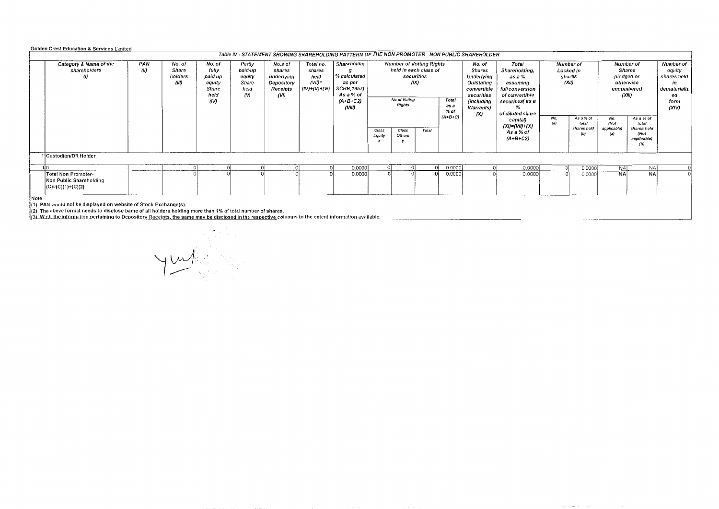#### Golden Crest Education & Services Limited

|      |                                                                                                                                                                                                                                                                                                                                                  |             |                                     |                                                               |                                                               |                                                                   |                                                             | Table IV - STATEMENT SHOWING SHAREHOLDING PATTERN OF THE NON PROMOTER - NON PUBLIC SHAREHOLDER     |                                                                                                                                                                                                       |  |                                                                                                                            |                                                                                                                                                                           |  |                                                                                                     |  |                                                                                                                            |                                                                           |  |  |
|------|--------------------------------------------------------------------------------------------------------------------------------------------------------------------------------------------------------------------------------------------------------------------------------------------------------------------------------------------------|-------------|-------------------------------------|---------------------------------------------------------------|---------------------------------------------------------------|-------------------------------------------------------------------|-------------------------------------------------------------|----------------------------------------------------------------------------------------------------|-------------------------------------------------------------------------------------------------------------------------------------------------------------------------------------------------------|--|----------------------------------------------------------------------------------------------------------------------------|---------------------------------------------------------------------------------------------------------------------------------------------------------------------------|--|-----------------------------------------------------------------------------------------------------|--|----------------------------------------------------------------------------------------------------------------------------|---------------------------------------------------------------------------|--|--|
|      | Category & Name of the<br>shareholders                                                                                                                                                                                                                                                                                                           | PAN<br>(ll) | No. of<br>Share<br>holders<br>(III) | No. of<br>fully<br>paid up<br>equity<br>Share<br>held<br>(IV) | Partly<br>paid-up<br>equity<br>Share<br>held<br>$\mathcal{N}$ | No.s of<br>shares<br>underlying<br>Depository<br>Receipts<br>(VI) | Total no.<br>shares<br>held<br>$(VII)$ =<br>$(IV)+(V)+(VI)$ | Shareholdin<br>% calculated<br>as per<br><b>SCRR,1957)</b><br>As a % of<br>$(A+B+C2)$<br>$($ VIII) | <b>Number of Votting Rights</b><br>held in each class of<br>securities<br>(1)<br>No of Voting<br>Total<br><b>Rights</b><br>as a<br>$%$ of<br>$(A+B+C)$<br>Total<br>Class<br>Class<br>Others<br>Equity |  | No. of<br><b>Shares</b><br>Underlying<br>Outstating<br>convertible<br>securities<br>(including<br><b>Warrants</b> )<br>(X) | Total<br>Shareholding,<br>$as a \%$<br>assuming<br>full conversion<br>of convertible<br>securities( as a<br>of diluted share<br>capital)<br>$(XI)=(VII)+(X)$<br>As a % of |  | Number of<br>Locked in<br>shares<br>(XII)<br>As a % of<br>No.<br>(a)<br>total<br>shares held<br>(b) |  | Number of<br><b>Shares</b><br>pledged or<br>otherwise<br>encumbered<br>(XIII)<br>As a % of<br>total<br>shares held<br>(Not | Number of<br>equity<br>shares held<br>dematerializ<br>ea<br>form<br>(XIV) |  |  |
| Note | (a)<br>$(A+B+C2)$<br>applicable)<br>(b)<br>1 Custodian/DR Holder<br>0.0000<br>0.0000<br>0.0000<br><b>NA</b><br>0.0000<br><b>NA</b><br>0.0000<br>NA:<br>0.0000<br>0.0000<br><b>NA</b><br>0.0000<br><b>Total Non Promoter-</b><br>Non Public Shareholding<br> {C}=(C)(1)+(C)(2)<br>(1) PAN would not be displayed on website of Stock Exchange(s). |             |                                     |                                                               |                                                               |                                                                   |                                                             |                                                                                                    |                                                                                                                                                                                                       |  |                                                                                                                            |                                                                                                                                                                           |  |                                                                                                     |  |                                                                                                                            |                                                                           |  |  |
|      | (2) The above format needs to disclose bame of all holders holding more than 1% of total number of shares.<br>(3) W.r.t. the information pertaining to Depository Receipts, the same may be disclosed in the respective columns to the extent information available.                                                                             |             |                                     |                                                               |                                                               |                                                                   |                                                             |                                                                                                    |                                                                                                                                                                                                       |  |                                                                                                                            |                                                                                                                                                                           |  |                                                                                                     |  |                                                                                                                            |                                                                           |  |  |

 $\nabla$  $\overline{\phantom{a}}$